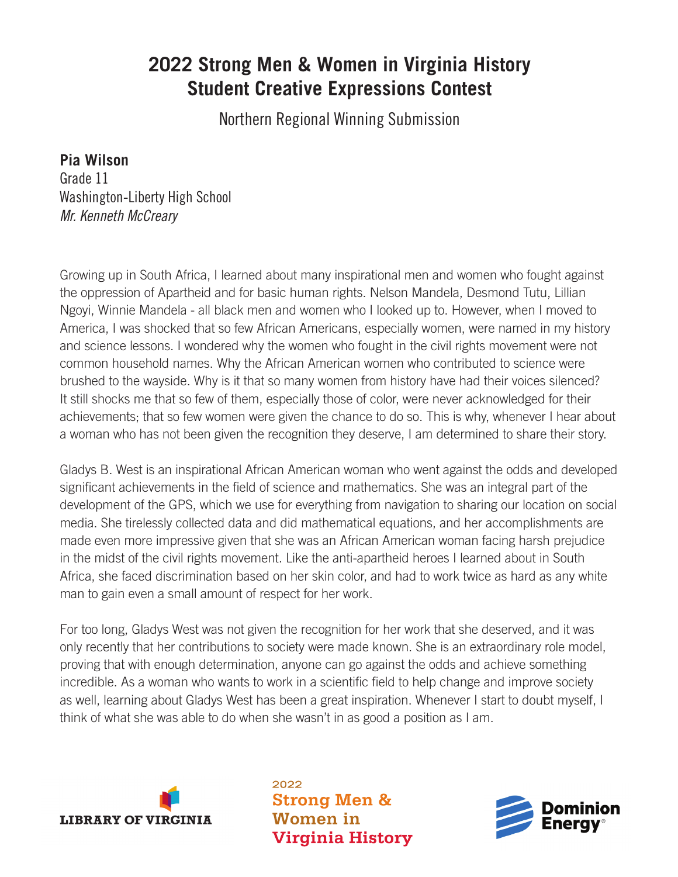## **2022 Strong Men & Women in Virginia History Student Creative Expressions Contest**

Northern Regional Winning Submission

## **Pia Wilson**

Grade 11 Washington-Liberty High School *Mr. Kenneth McCreary*

Growing up in South Africa, I learned about many inspirational men and women who fought against the oppression of Apartheid and for basic human rights. Nelson Mandela, Desmond Tutu, Lillian Ngoyi, Winnie Mandela - all black men and women who I looked up to. However, when I moved to America, I was shocked that so few African Americans, especially women, were named in my history and science lessons. I wondered why the women who fought in the civil rights movement were not common household names. Why the African American women who contributed to science were brushed to the wayside. Why is it that so many women from history have had their voices silenced? It still shocks me that so few of them, especially those of color, were never acknowledged for their achievements; that so few women were given the chance to do so. This is why, whenever I hear about a woman who has not been given the recognition they deserve, I am determined to share their story.

Gladys B. West is an inspirational African American woman who went against the odds and developed significant achievements in the field of science and mathematics. She was an integral part of the development of the GPS, which we use for everything from navigation to sharing our location on social media. She tirelessly collected data and did mathematical equations, and her accomplishments are made even more impressive given that she was an African American woman facing harsh prejudice in the midst of the civil rights movement. Like the anti-apartheid heroes I learned about in South Africa, she faced discrimination based on her skin color, and had to work twice as hard as any white man to gain even a small amount of respect for her work.

For too long, Gladys West was not given the recognition for her work that she deserved, and it was only recently that her contributions to society were made known. She is an extraordinary role model, proving that with enough determination, anyone can go against the odds and achieve something incredible. As a woman who wants to work in a scientific field to help change and improve society as well, learning about Gladys West has been a great inspiration. Whenever I start to doubt myself, I think of what she was able to do when she wasn't in as good a position as I am.



2022 **Strong Men & Women** in **Virginia History**